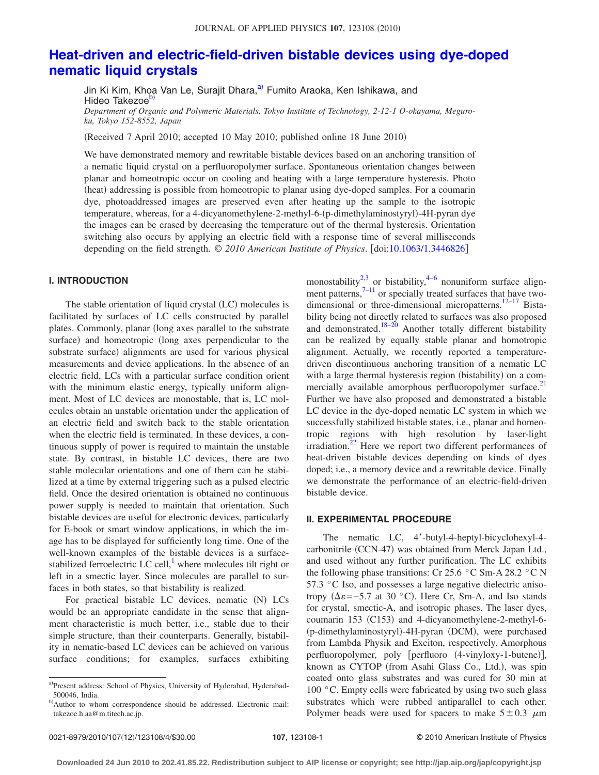# **[Heat-driven and electric-field-driven bistable devices using dye-doped](http://dx.doi.org/10.1063/1.3446826) [nematic liquid crystals](http://dx.doi.org/10.1063/1.3446826)**

Jin Ki Kim, Khoa Van Le, Surajit Dhara,<sup>a)</sup> Fumito Araoka, Ken Ishikawa, and Hideo Takezoe<sup>b</sup> *Department of Organic and Polymeric Materials, Tokyo Institute of Technology, 2-12-1 O-okayama, Meguroku, Tokyo 152-8552, Japan*

(Received 7 April 2010; accepted 10 May 2010; published online 18 June 2010)

We have demonstrated memory and rewritable bistable devices based on an anchoring transition of a nematic liquid crystal on a perfluoropolymer surface. Spontaneous orientation changes between planar and homeotropic occur on cooling and heating with a large temperature hysteresis. Photo (heat) addressing is possible from homeotropic to planar using dye-doped samples. For a coumarin dye, photoaddressed images are preserved even after heating up the sample to the isotropic temperature, whereas, for a 4-dicyanomethylene-2-methyl-6-(p-dimethylaminostyryl)-4H-pyran dye the images can be erased by decreasing the temperature out of the thermal hysteresis. Orientation switching also occurs by applying an electric field with a response time of several milliseconds depending on the field strength. © 2010 American Institute of Physics. [doi[:10.1063/1.3446826](http://dx.doi.org/10.1063/1.3446826)]

### **I. INTRODUCTION**

The stable orientation of liquid crystal (LC) molecules is facilitated by surfaces of LC cells constructed by parallel plates. Commonly, planar (long axes parallel to the substrate surface) and homeotropic (long axes perpendicular to the substrate surface) alignments are used for various physical measurements and device applications. In the absence of an electric field, LCs with a particular surface condition orient with the minimum elastic energy, typically uniform alignment. Most of LC devices are monostable, that is, LC molecules obtain an unstable orientation under the application of an electric field and switch back to the stable orientation when the electric field is terminated. In these devices, a continuous supply of power is required to maintain the unstable state. By contrast, in bistable LC devices, there are two stable molecular orientations and one of them can be stabilized at a time by external triggering such as a pulsed electric field. Once the desired orientation is obtained no continuous power supply is needed to maintain that orientation. Such bistable devices are useful for electronic devices, particularly for E-book or smart window applications, in which the image has to be displayed for sufficiently long time. One of the well-known examples of the bistable devices is a surfacestabilized ferroelectric LC cell, $<sup>1</sup>$  where molecules tilt right or</sup> left in a smectic layer. Since molecules are parallel to surfaces in both states, so that bistability is realized.

For practical bistable LC devices, nematic (N) LCs would be an appropriate candidate in the sense that alignment characteristic is much better, i.e., stable due to their simple structure, than their counterparts. Generally, bistability in nematic-based LC devices can be achieved on various surface conditions; for examples, surfaces exhibiting monostability<sup>2,[3](#page-3-2)</sup> or bistability,<sup>4[–6](#page-3-4)</sup> nonuniform surface alignment patterns, $7-11$  or specially treated surfaces that have two-dimensional or three-dimensional micropatterns.<sup>12–[17](#page-3-8)</sup> Bistability being not directly related to surfaces was also proposed and demonstrated.<sup>18[–20](#page-3-10)</sup> Another totally different bistability can be realized by equally stable planar and homotropic alignment. Actually, we recently reported a temperaturedriven discontinuous anchoring transition of a nematic LC with a large thermal hysteresis region (bistability) on a commercially available amorphous perfluoropolymer surface.<sup>21</sup> Further we have also proposed and demonstrated a bistable LC device in the dye-doped nematic LC system in which we successfully stabilized bistable states, i.e., planar and homeotropic regions with high resolution by laser-light irradiation. $22$  Here we report two different performances of heat-driven bistable devices depending on kinds of dyes doped; i.e., a memory device and a rewritable device. Finally we demonstrate the performance of an electric-field-driven bistable device.

#### **II. EXPERIMENTAL PROCEDURE**

The nematic LC, 4'-butyl-4-heptyl-bicyclohexyl-4carbonitrile (CCN-47) was obtained from Merck Japan Ltd., and used without any further purification. The LC exhibits the following phase transitions: Cr 25.6  $\degree$ C Sm-A 28.2  $\degree$ C N 57.3 °C Iso, and possesses a large negative dielectric anisotropy ( $\Delta \varepsilon = -5.7$  at 30 °C). Here Cr, Sm-A, and Iso stands for crystal, smectic-A, and isotropic phases. The laser dyes, coumarin 153 (C153) and 4-dicyanomethylene-2-methyl-6-(p-dimethylaminostyryl)-4H-pyran (DCM), were purchased from Lambda Physik and Exciton, respectively. Amorphous perfluoropolymer, poly [perfluoro (4-vinyloxy-1-butene)], known as CYTOP (from Asahi Glass Co., Ltd.), was spin coated onto glass substrates and was cured for 30 min at 100 °C. Empty cells were fabricated by using two such glass substrates which were rubbed antiparallel to each other. Polymer beads were used for spacers to make  $5\pm0.3$   $\mu$ m

a)Present address: School of Physics, University of Hyderabad, Hyderabad-500046, India.

b)Author to whom correspondence should be addressed. Electronic mail: takezoe.h.aa@m.titech.ac.jp.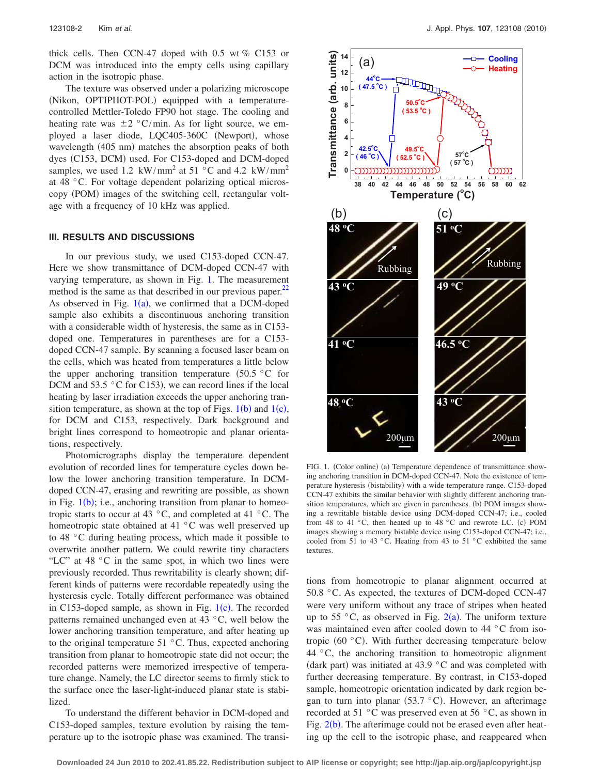thick cells. Then CCN-47 doped with 0.5 wt % C153 or DCM was introduced into the empty cells using capillary action in the isotropic phase.

The texture was observed under a polarizing microscope (Nikon, OPTIPHOT-POL) equipped with a temperaturecontrolled Mettler-Toledo FP90 hot stage. The cooling and heating rate was  $\pm 2$  °C/min. As for light source, we employed a laser diode, LQC405-360C (Newport), whose wavelength (405 nm) matches the absorption peaks of both dyes (C153, DCM) used. For C153-doped and DCM-doped samples, we used 1.2 kW/mm<sup>2</sup> at 51 °C and 4.2 kW/mm<sup>2</sup> at 48 °C. For voltage dependent polarizing optical microscopy (POM) images of the switching cell, rectangular voltage with a frequency of 10 kHz was applied.

#### **III. RESULTS AND DISCUSSIONS**

In our previous study, we used C153-doped CCN-47. Here we show transmittance of DCM-doped CCN-47 with varying temperature, as shown in Fig. [1.](#page-1-0) The measurement method is the same as that described in our previous paper.<sup>22</sup> As observed in Fig.  $1(a)$  $1(a)$ , we confirmed that a DCM-doped sample also exhibits a discontinuous anchoring transition with a considerable width of hysteresis, the same as in C153 doped one. Temperatures in parentheses are for a C153 doped CCN-47 sample. By scanning a focused laser beam on the cells, which was heated from temperatures a little below the upper anchoring transition temperature  $(50.5 \degree C)$  for DCM and 53.5  $\degree$ C for C153), we can record lines if the local heating by laser irradiation exceeds the upper anchoring transition temperature, as shown at the top of Figs.  $1(b)$  $1(b)$  and  $1(c)$ , for DCM and C153, respectively. Dark background and bright lines correspond to homeotropic and planar orientations, respectively.

Photomicrographs display the temperature dependent evolution of recorded lines for temperature cycles down below the lower anchoring transition temperature. In DCMdoped CCN-47, erasing and rewriting are possible, as shown in Fig.  $1(b)$  $1(b)$ ; i.e., anchoring transition from planar to homeotropic starts to occur at 43  $\degree$ C, and completed at 41  $\degree$ C. The homeotropic state obtained at 41 °C was well preserved up to 48 °C during heating process, which made it possible to overwrite another pattern. We could rewrite tiny characters "LC" at  $48 \degree$ C in the same spot, in which two lines were previously recorded. Thus rewritability is clearly shown; different kinds of patterns were recordable repeatedly using the hysteresis cycle. Totally different performance was obtained in C[1](#page-1-0)53-doped sample, as shown in Fig.  $1(c)$ . The recorded patterns remained unchanged even at 43 °C, well below the lower anchoring transition temperature, and after heating up to the original temperature 51 °C. Thus, expected anchoring transition from planar to homeotropic state did not occur; the recorded patterns were memorized irrespective of temperature change. Namely, the LC director seems to firmly stick to the surface once the laser-light-induced planar state is stabilized.

To understand the different behavior in DCM-doped and C153-doped samples, texture evolution by raising the temperature up to the isotropic phase was examined. The transi-

<span id="page-1-0"></span>

FIG. 1. (Color online) (a) Temperature dependence of transmittance showing anchoring transition in DCM-doped CCN-47. Note the existence of temperature hysteresis (bistability) with a wide temperature range. C153-doped CCN-47 exhibits the similar behavior with slightly different anchoring transition temperatures, which are given in parentheses. (b) POM images showing a rewritable bistable device using DCM-doped CCN-47; i.e., cooled from 48 to 41  $\degree$ C, then heated up to 48  $\degree$ C and rewrote LC. (c) POM images showing a memory bistable device using C153-doped CCN-47; i.e., cooled from 51 to 43 °C. Heating from 43 to 51 °C exhibited the same textures.

tions from homeotropic to planar alignment occurred at 50.8 °C. As expected, the textures of DCM-doped CCN-47 were very uniform without any trace of stripes when heated up to 55 °C, as observed in Fig. [2](#page-2-0)(a). The uniform texture was maintained even after cooled down to 44 °C from isotropic  $(60 °C)$ . With further decreasing temperature below  $44 \degree C$ , the anchoring transition to homeotropic alignment (dark part) was initiated at 43.9  $\degree$ C and was completed with further decreasing temperature. By contrast, in C153-doped sample, homeotropic orientation indicated by dark region began to turn into planar (53.7  $\degree$ C). However, an afterimage recorded at 51 °C was preserved even at 56 °C, as shown in Fig.  $2(b)$  $2(b)$ . The afterimage could not be erased even after heating up the cell to the isotropic phase, and reappeared when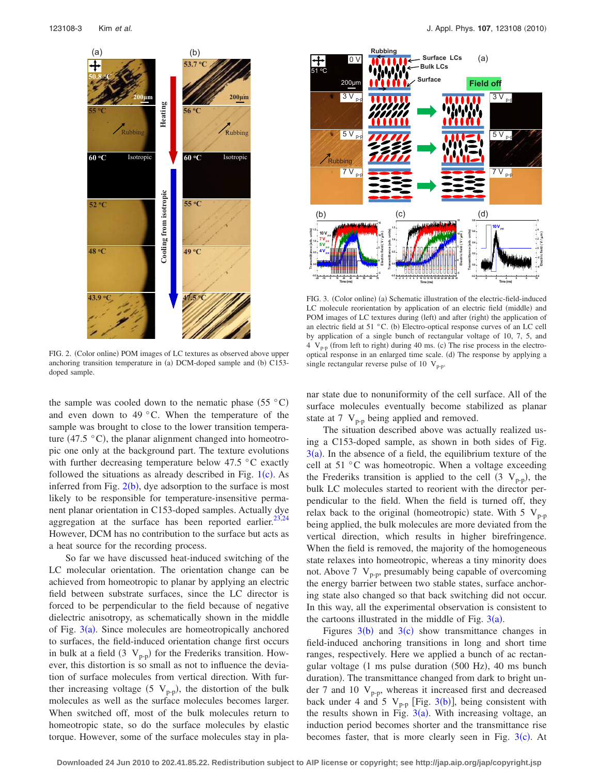<span id="page-2-0"></span>

FIG. 2. (Color online) POM images of LC textures as observed above upper anchoring transition temperature in (a) DCM-doped sample and (b) C153doped sample.

the sample was cooled down to the nematic phase  $(55 \degree C)$ and even down to 49 °C. When the temperature of the sample was brought to close to the lower transition temperature (47.5  $\degree$ C), the planar alignment changed into homeotropic one only at the background part. The texture evolutions with further decreasing temperature below 47.5 °C exactly followed the situations as already described in Fig.  $1(c)$  $1(c)$ . As inferred from Fig.  $2(b)$  $2(b)$ , dye adsorption to the surface is most likely to be responsible for temperature-insensitive permanent planar orientation in C153-doped samples. Actually dye aggregation at the surface has been reported earlier.<sup>23,[24](#page-3-14)</sup> However, DCM has no contribution to the surface but acts as a heat source for the recording process.

So far we have discussed heat-induced switching of the LC molecular orientation. The orientation change can be achieved from homeotropic to planar by applying an electric field between substrate surfaces, since the LC director is forced to be perpendicular to the field because of negative dielectric anisotropy, as schematically shown in the middle of Fig.  $3(a)$  $3(a)$ . Since molecules are homeotropically anchored to surfaces, the field-induced orientation change first occurs in bulk at a field  $(3 \ V_{p-p})$  for the Frederiks transition. However, this distortion is so small as not to influence the deviation of surface molecules from vertical direction. With further increasing voltage  $(5 V_{p-p})$ , the distortion of the bulk molecules as well as the surface molecules becomes larger. When switched off, most of the bulk molecules return to homeotropic state, so do the surface molecules by elastic torque. However, some of the surface molecules stay in pla-

<span id="page-2-1"></span>

FIG. 3. (Color online) (a) Schematic illustration of the electric-field-induced LC molecule reorientation by application of an electric field (middle) and POM images of LC textures during (left) and after (right) the application of an electric field at 51  $^{\circ}$ C. (b) Electro-optical response curves of an LC cell by application of a single bunch of rectangular voltage of 10, 7, 5, and  $4 \text{ V}_{p-p}$  (from left to right) during 40 ms. (c) The rise process in the electrooptical response in an enlarged time scale. (d) The response by applying a single rectangular reverse pulse of 10  $V_{p-p}$ .

nar state due to nonuniformity of the cell surface. All of the surface molecules eventually become stabilized as planar state at 7  $V_{p-p}$  being applied and removed.

The situation described above was actually realized using a C153-doped sample, as shown in both sides of Fig.  $3(a)$  $3(a)$ . In the absence of a field, the equilibrium texture of the cell at 51 °C was homeotropic. When a voltage exceeding the Frederiks transition is applied to the cell  $(3 \text{ V}_{p-p})$ , the bulk LC molecules started to reorient with the director perpendicular to the field. When the field is turned off, they relax back to the original (homeotropic) state. With 5  $V_{p-p}$ being applied, the bulk molecules are more deviated from the vertical direction, which results in higher birefringence. When the field is removed, the majority of the homogeneous state relaxes into homeotropic, whereas a tiny minority does not. Above 7  $V_{p-p}$ , presumably being capable of overcoming the energy barrier between two stable states, surface anchoring state also changed so that back switching did not occur. In this way, all the experimental observation is consistent to the cartoons illustrated in the middle of Fig.  $3(a)$  $3(a)$ .

Figures  $3(b)$  $3(b)$  and  $3(c)$  show transmittance changes in field-induced anchoring transitions in long and short time ranges, respectively. Here we applied a bunch of ac rectangular voltage (1 ms pulse duration (500 Hz), 40 ms bunch duration). The transmittance changed from dark to bright under 7 and 10  $V_{p-p}$ , whereas it increased first and decreased back under 4 and 5  $V_{p-p}$  [Fig. [3](#page-2-1)(b)], being consistent with the results shown in Fig.  $3(a)$  $3(a)$ . With increasing voltage, an induction period becomes shorter and the transmittance rise becomes faster, that is more clearly seen in Fig.  $3(c)$  $3(c)$ . At